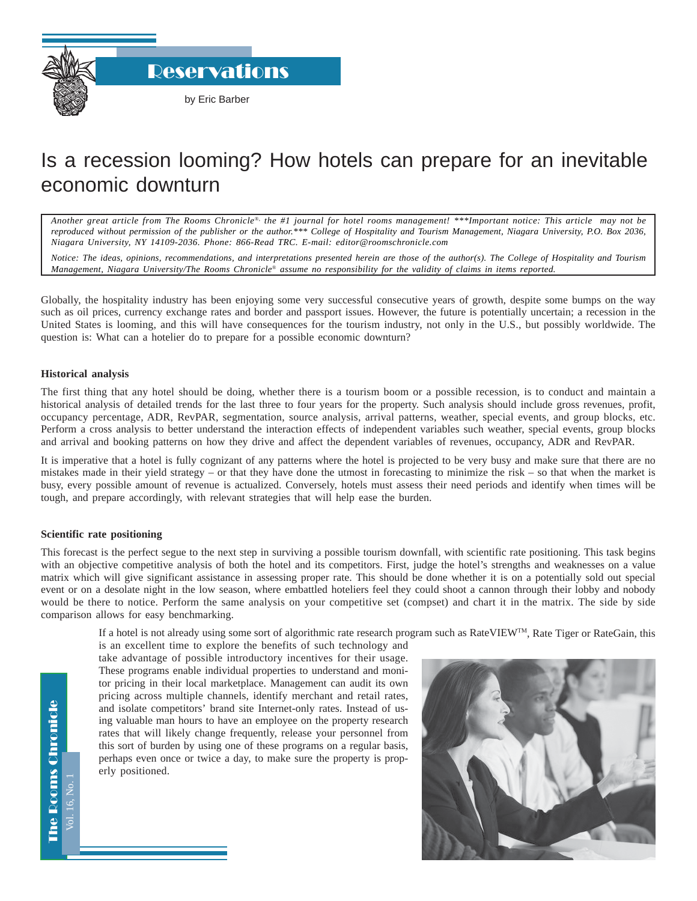**Reservations** 

# Is a recession looming? How hotels can prepare for an inevitable economic downturn

*Another great article from The Rooms Chronicle*®*, the #1 journal for hotel rooms management! \*\*\*Important notice: This article may not be reproduced without permission of the publisher or the author.\*\*\* College of Hospitality and Tourism Management, Niagara University, P.O. Box 2036, Niagara University, NY 14109-2036. Phone: 866-Read TRC. E-mail: editor@roomschronicle.com*

*Notice: The ideas, opinions, recommendations, and interpretations presented herein are those of the author(s). The College of Hospitality and Tourism Management, Niagara University/The Rooms Chronicle*® *assume no responsibility for the validity of claims in items reported.*

Globally, the hospitality industry has been enjoying some very successful consecutive years of growth, despite some bumps on the way such as oil prices, currency exchange rates and border and passport issues. However, the future is potentially uncertain; a recession in the United States is looming, and this will have consequences for the tourism industry, not only in the U.S., but possibly worldwide. The question is: What can a hotelier do to prepare for a possible economic downturn?

## **Historical analysis**

The first thing that any hotel should be doing, whether there is a tourism boom or a possible recession, is to conduct and maintain a historical analysis of detailed trends for the last three to four years for the property. Such analysis should include gross revenues, profit, occupancy percentage, ADR, RevPAR, segmentation, source analysis, arrival patterns, weather, special events, and group blocks, etc. Perform a cross analysis to better understand the interaction effects of independent variables such weather, special events, group blocks and arrival and booking patterns on how they drive and affect the dependent variables of revenues, occupancy, ADR and RevPAR.

It is imperative that a hotel is fully cognizant of any patterns where the hotel is projected to be very busy and make sure that there are no mistakes made in their yield strategy – or that they have done the utmost in forecasting to minimize the risk – so that when the market is busy, every possible amount of revenue is actualized. Conversely, hotels must assess their need periods and identify when times will be tough, and prepare accordingly, with relevant strategies that will help ease the burden.

# **Scientific rate positioning**

This forecast is the perfect segue to the next step in surviving a possible tourism downfall, with scientific rate positioning. This task begins with an objective competitive analysis of both the hotel and its competitors. First, judge the hotel's strengths and weaknesses on a value matrix which will give significant assistance in assessing proper rate. This should be done whether it is on a potentially sold out special event or on a desolate night in the low season, where embattled hoteliers feel they could shoot a cannon through their lobby and nobody would be there to notice. Perform the same analysis on your competitive set (compset) and chart it in the matrix. The side by side comparison allows for easy benchmarking.

If a hotel is not already using some sort of algorithmic rate research program such as RateVIEWTM, Rate Tiger or RateGain, this

is an excellent time to explore the benefits of such technology and take advantage of possible introductory incentives for their usage. These programs enable individual properties to understand and monitor pricing in their local marketplace. Management can audit its own pricing across multiple channels, identify merchant and retail rates, and isolate competitors' brand site Internet-only rates. Instead of using valuable man hours to have an employee on the property research rates that will likely change frequently, release your personnel from this sort of burden by using one of these programs on a regular basis, perhaps even once or twice a day, to make sure the property is properly positioned.



The Rooms Chronicle The Rooms Chronicle Vol. 16, No. 1 701.16, No.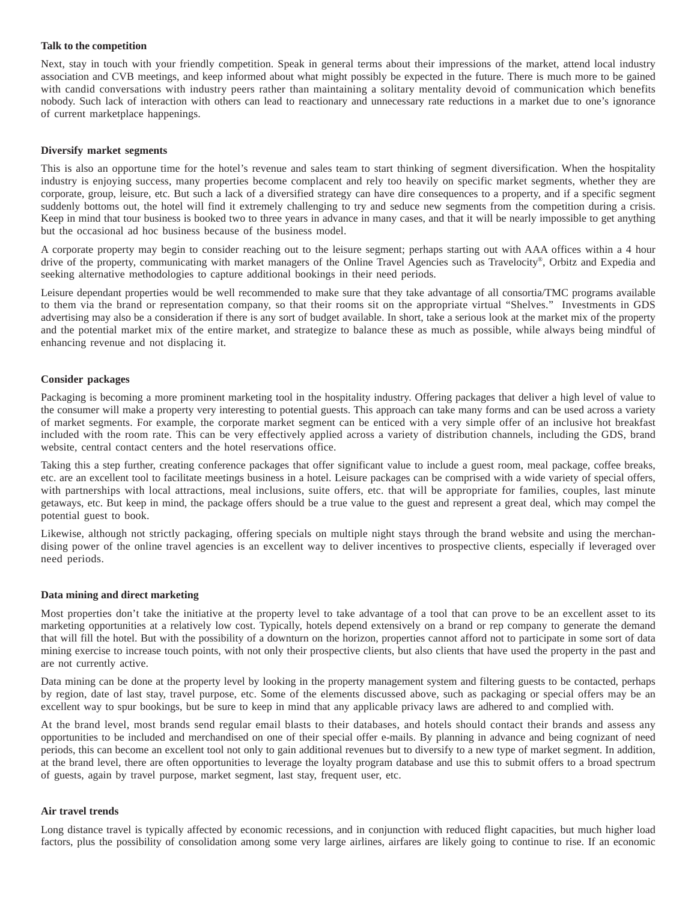#### **Talk to the competition**

Next, stay in touch with your friendly competition. Speak in general terms about their impressions of the market, attend local industry association and CVB meetings, and keep informed about what might possibly be expected in the future. There is much more to be gained with candid conversations with industry peers rather than maintaining a solitary mentality devoid of communication which benefits nobody. Such lack of interaction with others can lead to reactionary and unnecessary rate reductions in a market due to one's ignorance of current marketplace happenings.

## **Diversify market segments**

This is also an opportune time for the hotel's revenue and sales team to start thinking of segment diversification. When the hospitality industry is enjoying success, many properties become complacent and rely too heavily on specific market segments, whether they are corporate, group, leisure, etc. But such a lack of a diversified strategy can have dire consequences to a property, and if a specific segment suddenly bottoms out, the hotel will find it extremely challenging to try and seduce new segments from the competition during a crisis. Keep in mind that tour business is booked two to three years in advance in many cases, and that it will be nearly impossible to get anything but the occasional ad hoc business because of the business model.

A corporate property may begin to consider reaching out to the leisure segment; perhaps starting out with AAA offices within a 4 hour drive of the property, communicating with market managers of the Online Travel Agencies such as Travelocity®, Orbitz and Expedia and seeking alternative methodologies to capture additional bookings in their need periods.

Leisure dependant properties would be well recommended to make sure that they take advantage of all consortia/TMC programs available to them via the brand or representation company, so that their rooms sit on the appropriate virtual "Shelves." Investments in GDS advertising may also be a consideration if there is any sort of budget available. In short, take a serious look at the market mix of the property and the potential market mix of the entire market, and strategize to balance these as much as possible, while always being mindful of enhancing revenue and not displacing it.

## **Consider packages**

Packaging is becoming a more prominent marketing tool in the hospitality industry. Offering packages that deliver a high level of value to the consumer will make a property very interesting to potential guests. This approach can take many forms and can be used across a variety of market segments. For example, the corporate market segment can be enticed with a very simple offer of an inclusive hot breakfast included with the room rate. This can be very effectively applied across a variety of distribution channels, including the GDS, brand website, central contact centers and the hotel reservations office.

Taking this a step further, creating conference packages that offer significant value to include a guest room, meal package, coffee breaks, etc. are an excellent tool to facilitate meetings business in a hotel. Leisure packages can be comprised with a wide variety of special offers, with partnerships with local attractions, meal inclusions, suite offers, etc. that will be appropriate for families, couples, last minute getaways, etc. But keep in mind, the package offers should be a true value to the guest and represent a great deal, which may compel the potential guest to book.

Likewise, although not strictly packaging, offering specials on multiple night stays through the brand website and using the merchandising power of the online travel agencies is an excellent way to deliver incentives to prospective clients, especially if leveraged over need periods.

# **Data mining and direct marketing**

Most properties don't take the initiative at the property level to take advantage of a tool that can prove to be an excellent asset to its marketing opportunities at a relatively low cost. Typically, hotels depend extensively on a brand or rep company to generate the demand that will fill the hotel. But with the possibility of a downturn on the horizon, properties cannot afford not to participate in some sort of data mining exercise to increase touch points, with not only their prospective clients, but also clients that have used the property in the past and are not currently active.

Data mining can be done at the property level by looking in the property management system and filtering guests to be contacted, perhaps by region, date of last stay, travel purpose, etc. Some of the elements discussed above, such as packaging or special offers may be an excellent way to spur bookings, but be sure to keep in mind that any applicable privacy laws are adhered to and complied with.

At the brand level, most brands send regular email blasts to their databases, and hotels should contact their brands and assess any opportunities to be included and merchandised on one of their special offer e-mails. By planning in advance and being cognizant of need periods, this can become an excellent tool not only to gain additional revenues but to diversify to a new type of market segment. In addition, at the brand level, there are often opportunities to leverage the loyalty program database and use this to submit offers to a broad spectrum of guests, again by travel purpose, market segment, last stay, frequent user, etc.

#### **Air travel trends**

Long distance travel is typically affected by economic recessions, and in conjunction with reduced flight capacities, but much higher load factors, plus the possibility of consolidation among some very large airlines, airfares are likely going to continue to rise. If an economic